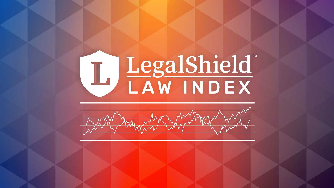# LegalShield<br>LAW INDEX

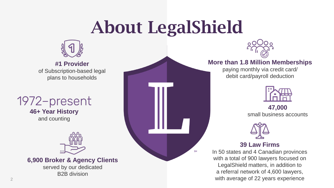# About LegalShield

**SM** 



**#1 Provider** of Subscription-based legal plans to households

### 1972-present

**46+ Year History** and counting



**6,900 Broker & Agency Clients**

served by our dedicated B2B division



#### **More than 1.8 Million Memberships**

paying monthly via credit card/ debit card/payroll deduction



**47,000** small business accounts



#### **39 Law Firms**

In 50 states and 4 Canadian provinces with a total of 900 lawyers focused on LegalShield matters, in addition to a referral network of 4,600 lawyers, with average of 22 years experience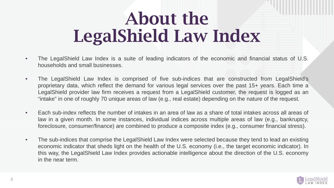# About the LegalShield Law Index

- The LegalShield Law Index is a suite of leading indicators of the economic and financial status of U.S. households and small businesses.
- The LegalShield Law Index is comprised of five sub-indices that are constructed from LegalShield's proprietary data, which reflect the demand for various legal services over the past 15+ years. Each time a LegalShield provider law firm receives a request from a LegalShield customer, the request is logged as an "intake" in one of roughly 70 unique areas of law (e.g., real estate) depending on the nature of the request.
- Each sub-index reflects the number of intakes in an area of law as a share of total intakes across all areas of law in a given month. In some instances, individual indices across multiple areas of law (e.g., bankruptcy, foreclosure, consumer/finance) are combined to produce a composite index (e.g., consumer financial stress).
- The sub-indices that comprise the LegalShield Law Index were selected because they tend to lead an existing economic indicator that sheds light on the health of the U.S. economy (i.e., the target economic indicator). In this way, the LegalShield Law Index provides actionable intelligence about the direction of the U.S. economy in the near term.

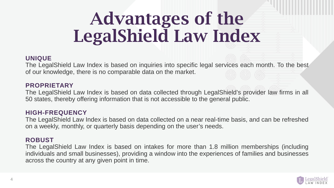# Advantages of the LegalShield Law Index

#### **UNIQUE**

The LegalShield Law Index is based on inquiries into specific legal services each month. To the best of our knowledge, there is no comparable data on the market.

#### **PROPRIETARY**

The LegalShield Law Index is based on data collected through LegalShield's provider law firms in all 50 states, thereby offering information that is not accessible to the general public.

#### **HIGH-FREQUENCY**

The LegalShield Law Index is based on data collected on a near real-time basis, and can be refreshed on a weekly, monthly, or quarterly basis depending on the user's needs.

#### **ROBUST**

The LegalShield Law Index is based on intakes for more than 1.8 million memberships (including individuals and small businesses), providing a window into the experiences of families and businesses across the country at any given point in time.

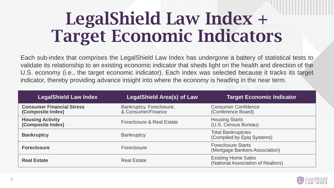# LegalShield Law Index + Target Economic Indicators

Each sub-index that comprises the LegalShield Law Index has undergone a battery of statistical tests to validate its relationship to an existing economic indicator that sheds light on the health and direction of the U.S. economy (i.e., the target economic indicator). Each index was selected because it tracks its target indicator, thereby providing advance insight into where the economy is heading in the near term.

| <b>LegalShield Law Index</b>                          | <b>LegalShield Area(s) of Law</b>              | <b>Target Economic Indicator</b>                                 |
|-------------------------------------------------------|------------------------------------------------|------------------------------------------------------------------|
| <b>Consumer Financial Stress</b><br>(Composite Index) | Bankruptcy, Foreclosure,<br>& Consumer/Finance | <b>Consumer Confidence</b><br>(Conference Board)                 |
| <b>Housing Activity</b><br>(Composite Index)          | Foreclosure & Real Estate                      | <b>Housing Starts</b><br>(U.S. Census Bureau)                    |
| <b>Bankruptcy</b>                                     | <b>Bankruptcy</b>                              | <b>Total Bankruptcies</b><br>(Compiled by Epiq Systems)          |
| <b>Foreclosure</b>                                    | Foreclosure                                    | <b>Foreclosure Starts</b><br>(Mortgage Bankers Association)      |
| <b>Real Estate</b>                                    | <b>Real Estate</b>                             | <b>Existing Home Sales</b><br>(National Association of Realtors) |

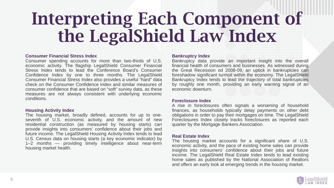# Interpreting Each Component of the LegalShield Law Index

#### **Consumer Financial Stress Index**

Consumer spending accounts for more than two-thirds of U.S. economic activity. The flagship LegalShield Consumer Financial Stress Index tends to lead the Conference Board's Consumer Confidence Index by one to three months. The LegalShield Consumer Financial Stress Index also provides a useful "hard" data check on the Consumer Confidence Index and similar measures of consumer confidence that are based on "soft" survey data, as these measures are not always consistent with underlying economic conditions.

#### **Housing Activity Index**

The housing market, broadly defined, accounts for up to oneseventh of U.S. economic activity, and the amount of new residential construction (as measured by housing starts) can provide insights into consumers' confidence about their jobs and future income. The LegalShield Housing Activity Index tends to lead U.S. Census data on housing starts (a key economic indicator) by 1–2 months — providing timely intelligence about near-term housing market health.

#### **Bankruptcy Index**

Bankruptcy data provide an important insight into the overall financial health of consumers and businesses. As witnessed during the Great Recession od 2008-09, an uptick in bankruptcies can foreshadow significant turmoil within the economy. The LegalShield Bankruptcy Index tends to lead the trajectory of total bankruptcies by roughly one month, providing an early warning signal of an economic downturn.

#### **Foreclosure Index**

A rise in foreclosures often signals a worsening of household finances, as households typically delay payments on other debt obligations in order to pay their mortgages on time. The LegalShield Foreclosures Index closely tracks foreclosures as reported each quarter by the Mortgage Bankers Association.

#### **Real Estate Index**

The housing market accounts for a significant share of U.S. economic activity, and the pace of existing home sales can provide insights into consumers' confidence about their jobs and future income. The LegalShield Real Estate Index tends to lead existing home sales as published by the National Association of Realtors and offers an early look at emerging trends in the housing market.

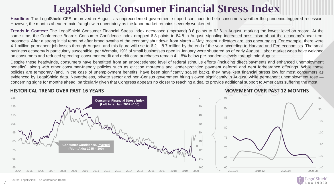### LegalShield Consumer Financial Stress Index

**Headline:** The LegalShield CFSI improved in August, as unprecedented government support continues to help consumers weather the pandemic-triggered recession. However, the months ahead remain fraught with uncertainty as the labor market remains severely weakened.

**Trends in Context:** The LegalShield Consumer Financial Stress Index decreased (improved) 3.8 points to 62.6 in August, marking the lowest level on record. At the same time, the Conference Board's Consumer Confidence Index dropped 6.8 points to 84.8 in August, signaling increased pessimism about the economy's near-term prospects. After a strong initial rebound after broad swaths of the economy shut down from March – May, recent indicators are less encouraging. For example, there were 4.1 million permanent job losses through August, and this figure will rise to 6.2 – 8.7 million by the end of the year according to Harvard and Fed economists. The small business economy is particularly susceptible: per Womply, 19% of small businesses open in January were shuttered as of early August. Labor market woes have weighed on consumers and reduced spending: consumer credit and debit card purchases remain 4 – 8% below pre-pandemic levels through mid-August.

Despite these headwinds, consumers have benefitted from an unprecedented level of federal stimulus efforts (including direct payments and enhanced unemployment benefits), along with other consumer-friendly policies such as eviction moratoria and lender-provided payment deferral and debt forbearance offerings. While these policies are temporary (and, in the case of unemployment benefits, have been significantly scaled back), they have kept financial stress low for most consumers as evidenced by LegalShield data. Nevertheless, private sector and non-Census government hiring slowed significantly in August, while permanent unemployment rose concerning signs for months ahead, particularly given that Congress appears no closer to reaching a deal to provide additional support to Americans suffering the most.

#### **HISTORICAL TREND OVER PAST 16 YEARS**

#### **MOVEMENT OVER PAST 12 MONTHS**



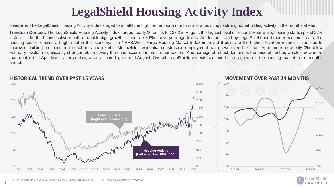### LegalShield Housing Activity Index

**Headline:** The LegalShield Housing Activity Index surged to an all-time high for the fourth month in a row, pointing to strong homebuilding activity in the months ahead.

**Trends in Context:** The LegalShield Housing Activity Index surged nearly 10 points to 138.2 in August, the highest level on record. Meanwhile, housing starts spiked 22% in July — the third consecutive month of double-digit growth — and are 8.6% above year-ago levels. As demonstrated by LegalShield and broader economic data, the housing sector remains a bright spot in the economy. The NAHB/Wells Fargo Housing Market Index improved 6 points to the highest level on record, in part due to improved building prospects in the suburbs and exurbs. Meanwhile, residential construction employment has grown over 14% from April and is now only 3% below February levels, a significantly stronger jobs recovery than has occurred in most other sectors. Another sign of robust demand is the price of lumber, which is now more than double mid-April levels after peaking at an all-time high in mid-August. Overall, LegalShield expects continued strong growth in the housing market in the months ahead.



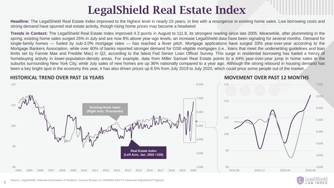### LegalShield Real Estate Index

**Headline:** The LegalShield Real Estate Index improved to the highest level in nearly 15 years, in line with a resurgence in existing home sales. Low borrowing costs and strong demand have spurred real estate activity, though rising home prices may become a headwind

**Trends in Context:** The LegalShield Real Estate Index improved 4.3 points in August to 111.8, its strongest reading since late 2005. Meanwhile, after plummeting in the spring, existing home sales surged 25% in July and are now 8% above year-ago levels, an increase LegalShield data have been signaling for several months. Demand for single-family homes — fueled by sub-3.0% mortgage rates — has reached a fever pitch. Mortgage applications have surged 33% year-over-year according to the Mortgage Bankers Association, while over 60% of banks reported stronger demand for GSE-eligible mortgages (i.e., loans that meet the underwriting guidelines and loan limits set by Fannie Mae and Freddie Mac) in Q2, according to the latest Fed Senior Loan Officer Survey. This surge in residential borrowing has fueled a frenzy of homebuying activity in lower-population-density areas. For example, data from Miller Samuel Real Estate points to a 44% year-over-year jump in home sales in the suburbs surrounding New York City, while July sales of new homes are up 36% nationally compared to a year ago. Although the strong rebound in housing demand has been a key bright spot in the economy this year, it has also driven prices up 8.5% from July 2019 to July 2020, which could price some people out of the market.

#### **HISTORICAL TREND OVER PAST 16 YEARS MOVEMENT OVER PAST 12 MONTHS**



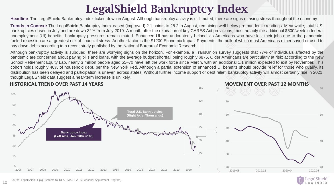### LegalShield Bankruptcy Index

**Headline**: The LegalShield Bankruptcy Index ticked down in August. Although bankruptcy activity is still muted, there are signs of rising stress throughout the economy.

**Trends in Context:** The LegalShield Bankruptcy Index eased (improved) 2.1 points to 28.2 in August, remaining well-below pre-pandemic readings. Meanwhile, total U.S. bankruptcies eased in July and are down 32% from July 2019. A month after the expiration of key CARES Act provisions, most notably the additional \$600/week in federal unemployment (UI) benefits, bankruptcy pressures remain muted. Enhanced UI has undoubtedly helped, as Americans who have lost their jobs due to the pandemicfueled recession are at greatest risk of financial stress. Another factor is the \$1200 Economic Impact Payments, the bulk of which most Americans either saved or used to pay down debts according to a recent study published by the National Bureau of Economic Research.

Although bankruptcy activity is subdued, there are worrying signs on the horizon. For example, a TransUnion survey suggests that 77% of individuals affected by the pandemic are concerned about paying bills and loans, with the average budget shortfall being roughly \$875. Older Americans are particularly at risk: according to the New School Retirement Equity Lab, nearly 3 million people aged 55–70 have left the work force since March, with an additional 1.1 million expected to exit by November. This cohort holds roughly 40% of household debt, per the New York Fed. Although a partial extension of enhanced UI benefits should provide relief for those who qualify, its distribution has been delayed and participation is uneven across states. Without further income support or debt relief, bankruptcy activity will almost certainly rise in 2021, though LegalShield data suggest a near-term increase is unlikely.





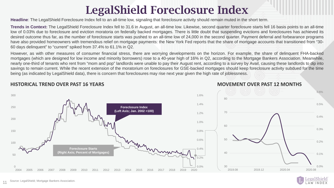## LegalShield Foreclosure Index

**Headline**: The LegalShield Foreclosure Index fell to an all-time low, signaling that foreclosure activity should remain muted in the short term.

**Trends in Context:** The LegalShield Foreclosure Index fell to 31.6 in August, an all-time low. Likewise, second quarter foreclosure starts fell 16 basis points to an all-time low of 0.03% due to foreclosure and eviction moratoria on federally backed mortgages. There is little doubt that suspending evictions and foreclosures has achieved its desired outcome thus far, as the number of foreclosure starts was pushed to an all-time low of 24,000 in the second quarter. Payment deferral and forbearance programs have also provided homeowners with tremendous relief on mortgage payments: the New York Fed reports that the share of mortgage accounts that transitioned from "30- 60 days delinquent" to "current" spiked from 37.4% to 61.1% in Q2.

However, as with other measures of consumer financial stress, there are worrying developments on the horizon. For example, the share of delinquent FHA-backed mortgages (which are designed for low income and minority borrowers) rose to a 40-year high of 16% in Q2, according to the Mortgage Bankers Association. Meanwhile, nearly one-third of tenants who rent from "mom and pop" landlords were unable to pay their August rent, according to a survey by Avail, causing these landlords to dip into savings to remain current. While the recent extension of the moratorium on foreclosures for GSE-backed mortgages should keep foreclosure activity subdued for the time being (as indicated by LegalShield data), there is concern that foreclosures may rise next year given the high rate of joblessness.



#### **HISTORICAL TREND OVER PAST 16 YEARS**